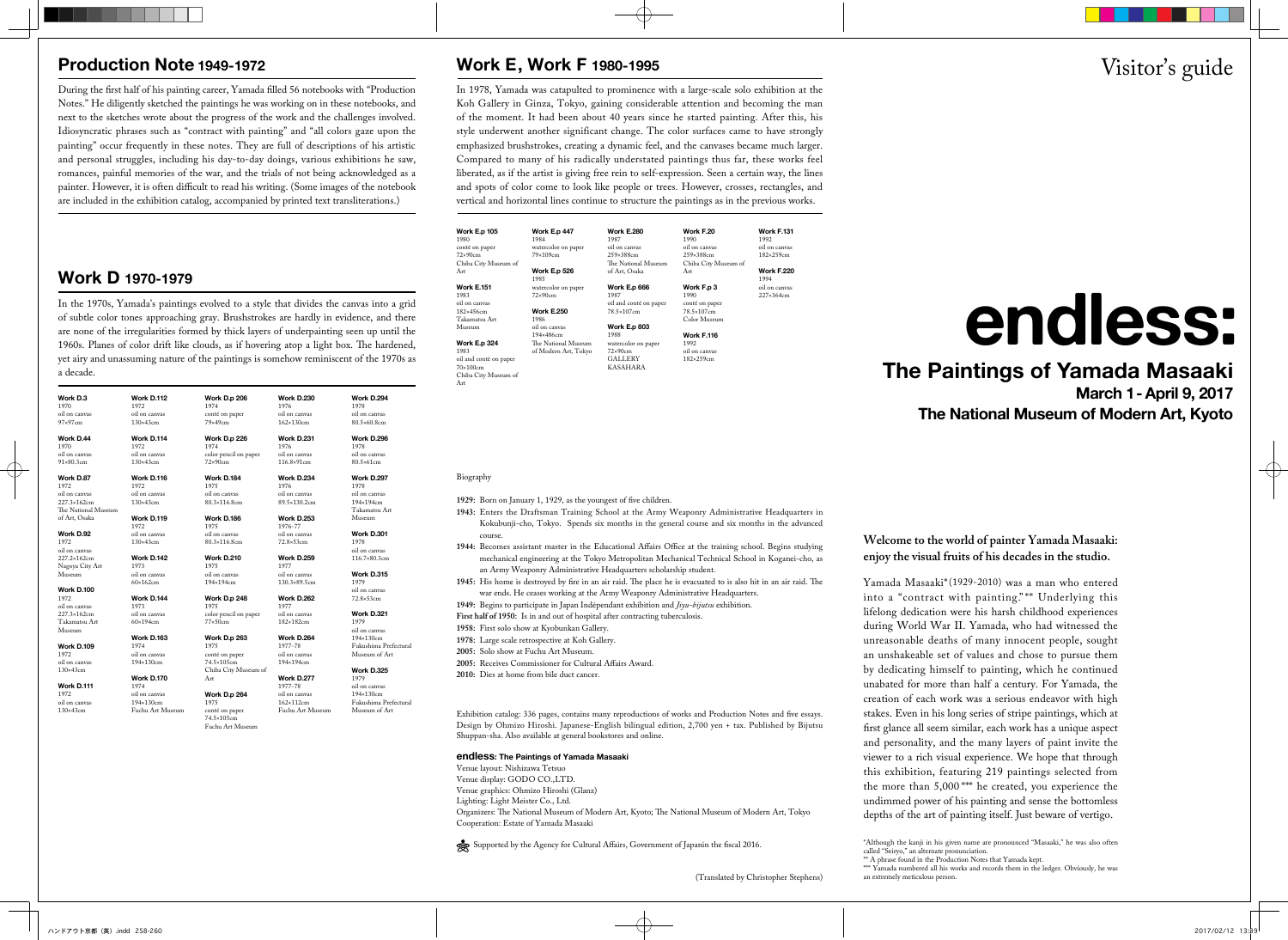Yamada Masaaki\*(1929-2010) was a man who entered into a "contract with painting." \*\* Underlying this lifelong dedication were his harsh childhood experiences during World War II. Yamada, who had witnessed the unreasonable deaths of many innocent people, sought an unshakeable set of values and chose to pursue them by dedicating himself to painting, which he continued unabated for more than half a century. For Yamada, the creation of each work was a serious endeavor with high stakes. Even in his long series of stripe paintings, which at first glance all seem similar, each work has a unique aspect and personality, and the many layers of paint invite the viewer to a rich visual experience. We hope that through this exhibition, featuring 219 paintings selected from the more than 5,000 \*\*\* he created, you experience the undimmed power of his painting and sense the bottomless depths of the art of painting itself. Just beware of vertigo.

called "Seiryo," an alternate pronunciation.

\*\* A phrase found in the Production Notes that Yamada kept.

an extremely meticulous person.

### **Welcome to the world of painter Yamada Masaaki: enjoy the visual fruits of his decades in the studio.**

## **Production Note 1949-1972**

During the first half of his painting career, Yamada filled 56 notebooks with "Production Notes." He diligently sketched the paintings he was working on in these notebooks, and next to the sketches wrote about the progress of the work and the challenges involved. Idiosyncratic phrases such as "contract with painting" and "all colors gaze upon the painting" occur frequently in these notes. They are full of descriptions of his artistic and personal struggles, including his day-to-day doings, various exhibitions he saw, romances, painful memories of the war, and the trials of not being acknowledged as a painter. However, it is often difficult to read his writing. (Some images of the notebook are included in the exhibition catalog, accompanied by printed text transliterations.)

## **Work D 1970-1979**

In the 1970s, Yamada's paintings evolved to a style that divides the canvas into a grid of subtle color tones approaching gray. Brushstrokes are hardly in evidence, and there are none of the irregularities formed by thick layers of underpainting seen up until the 1960s. Planes of color drift like clouds, as if hovering atop a light box. The hardened, yet airy and unassuming nature of the paintings is somehow reminiscent of the 1970s as a decade.

## **Work E, Work F 1980-1995**

In 1978, Yamada was catapulted to prominence with a large-scale solo exhibition at the Koh Gallery in Ginza, Tokyo, gaining considerable attention and becoming the man of the moment. It had been about 40 years since he started painting. After this, his style underwent another significant change. The color surfaces came to have strongly emphasized brushstrokes, creating a dynamic feel, and the canvases became much larger. Compared to many of his radically understated paintings thus far, these works feel liberated, as if the artist is giving free rein to self-expression. Seen a certain way, the lines and spots of color come to look like people or trees. However, crosses, rectangles, and vertical and horizontal lines continue to structure the paintings as in the previous works.

### Biography

**1929:** Born on January 1, 1929, as the youngest of five children.

- **1943:** Enters the Draftsman Training School at the Army Weaponry Administrative Headquarters in Kokubunji-cho, Tokyo. Spends six months in the general course and six months in the advanced course.
- **1944:** Becomes assistant master in the Educational Affairs Office at the training school. Begins studying mechanical engineering at the Tokyo Metropolitan Mechanical Technical School in Koganei-cho, as an Army Weaponry Administrative Headquarters scholarship student.
- **1945:** His home is destroyed by fire in an air raid. The place he is evacuated to is also hit in an air raid. The war ends. He ceases working at the Army Weaponry Administrative Headquarters.
- **1949:** Begins to participate in Japan Indépendant exhibition and *Jiyu-bijutsu* exhibition.
- First half of 1950: Is in and out of hospital after contracting tuberculosis
- **1958:** First solo show at Kyobunkan Gallery.
- **1978:** Large scale retrospective at Koh Gallery.
- **2005:** Solo show at Fuchu Art Museum.
- **2005:** Receives Commissioner for Cultural Affairs Award.
- **2010:** Dies at home from bile duct cancer.

Exhibition catalog: 336 pages, contains many reproductions of works and Production Notes and five essays. Design by Ohmizo Hiroshi. Japanese-English bilingual edition, 2,700 yen + tax. Published by Bijutsu Shuppan-sha. Also available at general bookstores and online.

# **endless: The Paintings of Yamada Masaaki March 1- April 9, 2017 The National Museum of Modern Art, Kyoto**

### **endless: The Paintings of Yamada Masaaki**

Venue layout: Nishizawa Tetsuo Venue display: GODO CO.,LTD. Venue graphics: Ohmizo Hiroshi (Glanz) Lighting: Light Meister Co., Ltd. Organizers: The National Museum of Modern Art, Kyoto; The National Museum of Modern Art, Tokyo Cooperation: Estate of Yamada Masaaki

Supported by the Agency for Cultural Affairs, Government of Japanin the fiscal 2016.

| <b>Work E.p 105</b><br>1980 | <b>Work E.p 447</b><br>1984 | <b>Work E.280</b><br>1987 | Work F.20<br>1990    | <b>Work F.131</b><br>1992 |
|-----------------------------|-----------------------------|---------------------------|----------------------|---------------------------|
| conté on paper              | watercolor on paper         | oil on canvas             | oil on canvas        | oil on canvas             |
| $72\times90cm$              | 79×109cm                    | 259×388cm                 | 259×388cm            | 182×259cm                 |
| Chiba City Museum of        |                             | The National Museum       | Chiba City Museum of |                           |
| Art                         | <b>Work E.p 526</b><br>1985 | of Art, Osaka             | Art                  | <b>Work F.220</b><br>1994 |
| <b>Work E.151</b>           | watercolor on paper         | <b>Work E.p 666</b>       | Work F.p 3           | oil on canvas             |
| 1983                        | $72\times90cm$              | 1987                      | 1990                 | 227×364cm                 |
| oil on canvas               |                             | oil and conté on paper    | conté on paper       |                           |
| $182\times456$ cm           | <b>Work E.250</b>           | 78.5×107cm                | 78.5×107cm           |                           |
| Takamatsu Art               | 1986                        |                           | Color Museum         |                           |
| Museum                      | oil on canvas               | <b>Work E.p 803</b>       |                      |                           |
|                             | 194×486cm                   | 1988                      | <b>Work F.116</b>    |                           |
| Work E.p 324                | The National Museum         | watercolor on paper       | 1992                 |                           |
| 1983                        | of Modern Art, Tokyo        | $72\times90cm$            | oil on canvas        |                           |
| oil and conté on paper      |                             | GALLERY                   | 182×259cm            |                           |
| $70\times100$ cm            |                             | KASAHARA                  |                      |                           |
| Chiba City Museum of<br>Art |                             |                           |                      |                           |

| Work D.3<br>1970                                    | <b>Work D.112</b><br>1972          | Work D.p 206<br>1974                                 | <b>Work D.230</b><br>1976               | <b>Work D.294</b><br>1978                   |
|-----------------------------------------------------|------------------------------------|------------------------------------------------------|-----------------------------------------|---------------------------------------------|
| oil on canvas                                       | oil on canvas                      | conté on paper                                       | oil on canvas                           | oil on canvas                               |
| $97\times97$ cm                                     | $130\times43$ cm                   | $79\times49cm$                                       | 162×130cm                               | 80.5×60.8cm                                 |
| Work D.44<br>1970                                   | Work D.114<br>1972                 | <b>Work D.p 226</b><br>1974                          | <b>Work D.231</b><br>1976               | <b>Work D.296</b><br>1978                   |
| oil on canvas<br>91×80.3cm                          | oil on canvas<br>$130\times43$ cm  | color pencil on paper<br>$72\times90cm$              | oil on canvas<br>116.8×91cm             | oil on canvas<br>80.5×61cm                  |
| Work D.87<br>1972                                   | <b>Work D.116</b><br>1972          | <b>Work D.184</b><br>1975                            | <b>Work D.234</b><br>1976               | <b>Work D.297</b><br>1978                   |
| oil on canvas<br>227.3×162cm<br>The National Museum | oil on canvas<br>$130\times 43$ cm | oil on canvas<br>80.3×116.8cm                        | oil on canvas<br>89.5×130.2cm           | oil on canvas<br>194×194cm<br>Takamatsu Art |
| of Art, Osaka                                       | <b>Work D.119</b><br>1972          | <b>Work D.186</b><br>1975                            | <b>Work D.253</b><br>1976-77            | Museum                                      |
| Work D.92<br>1972<br>oil on canvas                  | oil on canvas<br>$130\times 43$ cm | oil on canvas<br>$80.3 \times 116.8$ cm              | oil on canvas<br>72.8×53cm              | <b>Work D.301</b><br>1978<br>oil on canvas  |
| 227.2×162cm<br>Nagoya City Art                      | <b>Work D.142</b><br>1973          | <b>Work D.210</b><br>1975                            | <b>Work D.259</b><br>1977               | 116.7×80.3cm                                |
| Museum                                              | oil on canvas<br>$60\times162$ cm  | oil on canvas<br>194×194cm                           | oil on canvas<br>$130.3 \times 89.5$ cm | <b>Work D.315</b><br>1979                   |
| <b>Work D.100</b><br>1972<br>oil on canvas          | <b>Work D.144</b><br>1973          | Work D.p 248<br>1975                                 | <b>Work D.262</b><br>1977               | oil on canvas<br>72.8×53cm                  |
| $227.3 \times 162$ cm<br>Takamatsu Art<br>Museum    | oil on canvas<br>$60\times194$ cm  | color pencil on paper<br>$77\times50cm$              | oil on canvas<br>182×182cm              | <b>Work D.321</b><br>1979<br>oil on canvas  |
| <b>Work D.109</b>                                   | <b>Work D.163</b><br>1974          | Work D.p 263<br>1975                                 | <b>Work D.264</b><br>1977-78            | $194\times130$ cm<br>Fukushima Prefectura   |
| 1972<br>oil on canvas<br>130×43cm                   | oil on canvas<br>194×130cm         | conté on paper<br>74.5×105cm<br>Chiba City Museum of | oil on canvas<br>194×194cm              | Museum of Art<br><b>Work D.325</b>          |
| <b>Work D.111</b>                                   | <b>Work D.170</b><br>1974          | Art                                                  | <b>Work D.277</b><br>1977-78            | 1979<br>oil on canvas                       |
| 1972<br>oil on canvas                               | oil on canvas<br>194×130cm         | <b>Work D.p 264</b><br>1975                          | oil on canvas<br>$162\times112$ cm      | $194\times130$ cm<br>Fukushima Prefectura   |
| $130\times43cm$                                     | Fuchu Art Museum                   | conté on paper<br>74.5×105cm<br>Fuchu Art Museum     | Fuchu Art Museum                        | Museum of Art                               |

# Visitor's guide

<sup>\*</sup>Although the kanji in his given name are pronounced "Masaaki," he was also often

<sup>\*\*\*</sup> Yamada numbered all his works and records them in the ledger. Obviously, he was